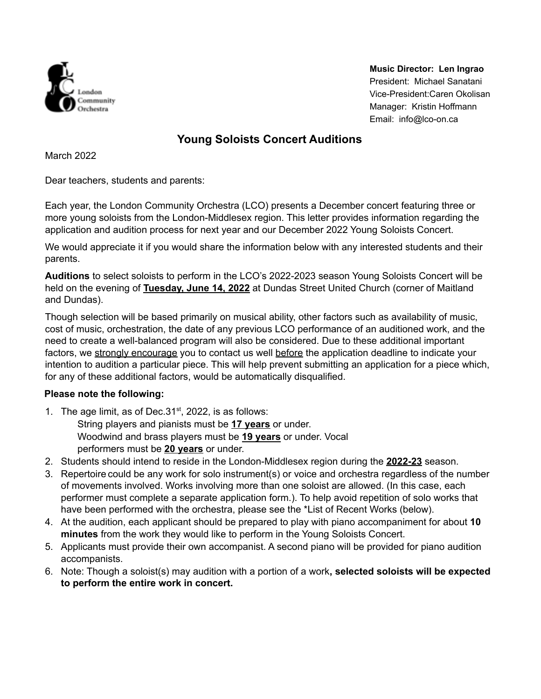

**Music Director: Len Ingrao** President: Michael Sanatani Vice-President:Caren Okolisan Manager: Kristin Hoffmann Email: info@lco-on.ca

### **Young Soloists Concert Auditions**

March 2022

Dear teachers, students and parents:

Each year, the London Community Orchestra (LCO) presents a December concert featuring three or more young soloists from the London-Middlesex region. This letter provides information regarding the application and audition process for next year and our December 2022 Young Soloists Concert.

We would appreciate it if you would share the information below with any interested students and their parents.

**Auditions** to select soloists to perform in the LCO's 2022-2023 season Young Soloists Concert will be held on the evening of **Tuesday, June 14, 2022** at Dundas Street United Church (corner of Maitland and Dundas).

Though selection will be based primarily on musical ability, other factors such as availability of music, cost of music, orchestration, the date of any previous LCO performance of an auditioned work, and the need to create a well-balanced program will also be considered. Due to these additional important factors, we strongly encourage you to contact us well before the application deadline to indicate your intention to audition a particular piece. This will help prevent submitting an application for a piece which, for any of these additional factors, would be automatically disqualified.

#### **Please note the following:**

- 1. The age limit, as of Dec.  $31<sup>st</sup>$ , 2022, is as follows: String players and pianists must be **17 years** or under. Woodwind and brass players must be **19 years** or under. Vocal performers must be **20 years** or under.
- 2. Students should intend to reside in the London-Middlesex region during the **2022-23** season.
- 3. Repertoire could be any work for solo instrument(s) or voice and orchestra regardless of the number of movements involved. Works involving more than one soloist are allowed. (In this case, each performer must complete a separate application form.). To help avoid repetition of solo works that have been performed with the orchestra, please see the \*List of Recent Works (below).
- 4. At the audition, each applicant should be prepared to play with piano accompaniment for about **10 minutes** from the work they would like to perform in the Young Soloists Concert.
- 5. Applicants must provide their own accompanist. A second piano will be provided for piano audition accompanists.
- 6. Note: Though a soloist(s) may audition with a portion of a work**, selected soloists will be expected to perform the entire work in concert.**